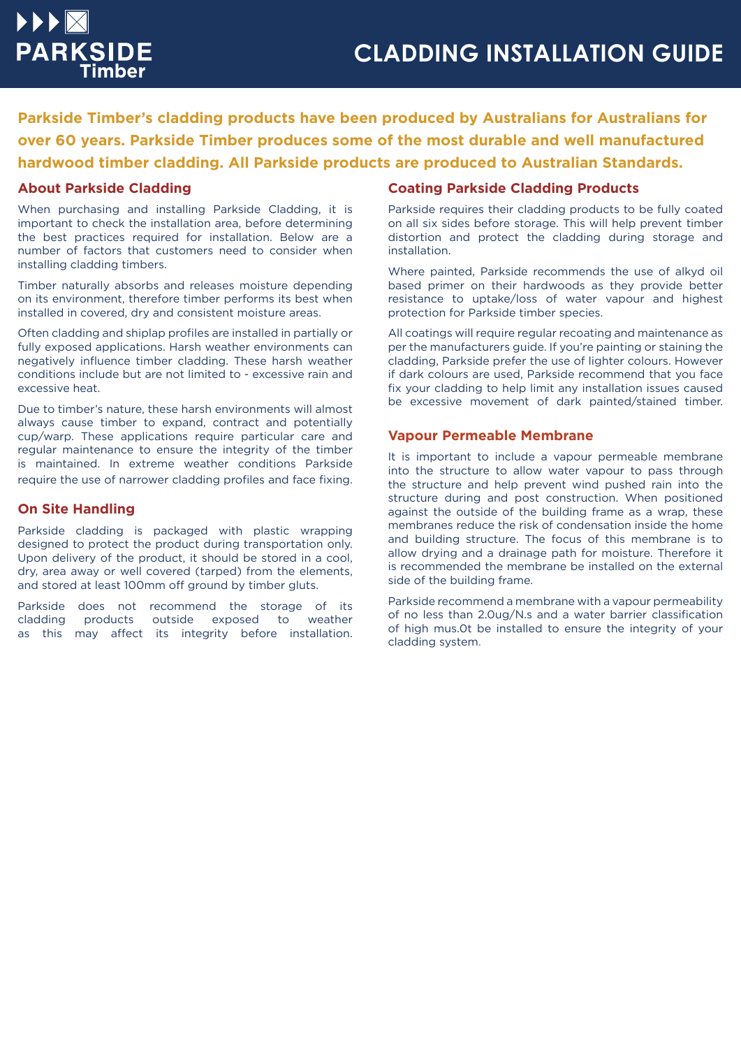**Parkside Timber's cladding products have been produced by Australians for Australians for over 60 years. Parkside Timber produces some of the most durable and well manufactured hardwood timber cladding. All Parkside products are produced to Australian Standards.**

### **About Parkside Cladding**

When purchasing and installing Parkside Cladding, it is important to check the installation area, before determining the best practices required for installation. Below are a number of factors that customers need to consider when installing cladding timbers.

Timber naturally absorbs and releases moisture depending on its environment, therefore timber performs its best when installed in covered, dry and consistent moisture areas.

Often cladding and shiplap profiles are installed in partially or fully exposed applications. Harsh weather environments can negatively influence timber cladding. These harsh weather conditions include but are not limited to - excessive rain and excessive heat.

Due to timber's nature, these harsh environments will almost always cause timber to expand, contract and potentially cup/warp. These applications require particular care and regular maintenance to ensure the integrity of the timber is maintained. In extreme weather conditions Parkside require the use of narrower cladding profiles and face fixing.

#### **On Site Handling**

Parkside cladding is packaged with plastic wrapping designed to protect the product during transportation only. Upon delivery of the product, it should be stored in a cool, dry, area away or well covered (tarped) from the elements, and stored at least 100mm off ground by timber gluts.

Parkside does not recommend the storage of its cladding products outside exposed to weather as this may affect its integrity before installation.

# **Coating Parkside Cladding Products**

Parkside requires their cladding products to be fully coated on all six sides before storage. This will help prevent timber distortion and protect the cladding during storage and installation.

Where painted, Parkside recommends the use of alkyd oil based primer on their hardwoods as they provide better resistance to uptake/loss of water vapour and highest protection for Parkside timber species.

All coatings will require regular recoating and maintenance as per the manufacturers guide. If you're painting or staining the cladding, Parkside prefer the use of lighter colours. However if dark colours are used, Parkside recommend that you face fix your cladding to help limit any installation issues caused be excessive movement of dark painted/stained timber.

#### **Vapour Permeable Membrane**

It is important to include a vapour permeable membrane into the structure to allow water vapour to pass through the structure and help prevent wind pushed rain into the structure during and post construction. When positioned against the outside of the building frame as a wrap, these membranes reduce the risk of condensation inside the home and building structure. The focus of this membrane is to allow drying and a drainage path for moisture. Therefore it is recommended the membrane be installed on the external side of the building frame.

Parkside recommend a membrane with a vapour permeability of no less than 2.0ug/N.s and a water barrier classification of high mus.0t be installed to ensure the integrity of your cladding system.